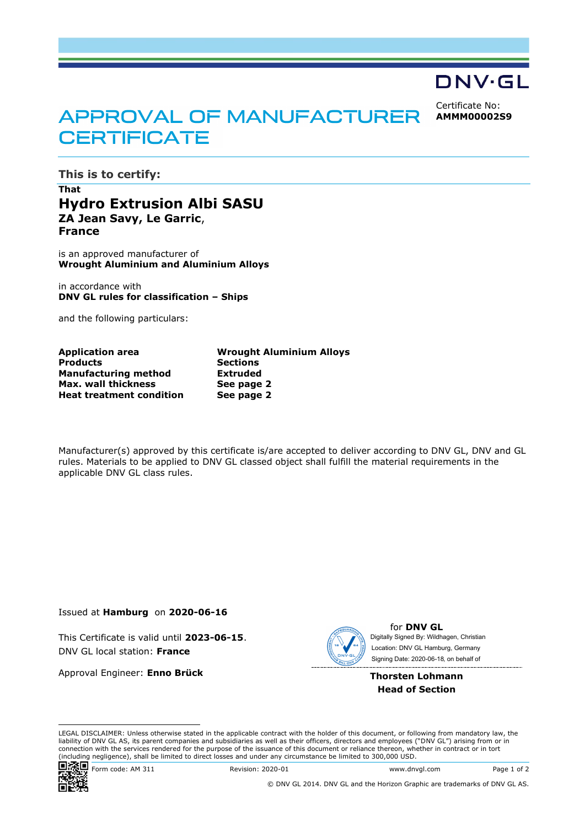## DNV·GL

Certificate No: **AMMM00002S9**

# **APPROVAL OF MANUFACTURER CERTIFICATE**

**This is to certify:**

#### **That Hydro Extrusion Albi SASU ZA Jean Savy, Le Garric**, **France**

is an approved manufacturer of **Wrought Aluminium and Aluminium Alloys**

in accordance with **DNV GL rules for classification – Ships**

and the following particulars:

| <b>Application area</b>         | <b>Wrought Aluminium Alloys</b> |
|---------------------------------|---------------------------------|
| <b>Products</b>                 | <b>Sections</b>                 |
| <b>Manufacturing method</b>     | Extruded                        |
| Max. wall thickness             | See page 2                      |
| <b>Heat treatment condition</b> | See page 2                      |
|                                 |                                 |

Manufacturer(s) approved by this certificate is/are accepted to deliver according to DNV GL, DNV and GL rules. Materials to be applied to DNV GL classed object shall fulfill the material requirements in the applicable DNV GL class rules.

Issued at **Hamburg** on **2020-06-16**

This Certificate is valid until **2023-06-15**. DNV GL local station: **France** 

Approval Engineer: **Enno Brück**



for **DNV GL** Signing Date: 2020-06-18 , on behalf ofDigitally Signed By: Wildhagen, Christian Location: DNV GL Hamburg, Germany

**Thorsten Lohmann Head of Section**

LEGAL DISCLAIMER: Unless otherwise stated in the applicable contract with the holder of this document, or following from mandatory law, the liability of DNV GL AS, its parent companies and subsidiaries as well as their officers, directors and employees ("DNV GL") arising from or in connection with the services rendered for the purpose of the issuance of this document or reliance thereon, whether in contract or in tort (including negligence), shall be limited to direct losses and under any circumstance be limited to 300,000 USD.



Form code: AM 311 Revision: 2020-01 www.dnvgl.com Page 1 of 2

© DNV GL 2014. DNV GL and the Horizon Graphic are trademarks of DNV GL AS.